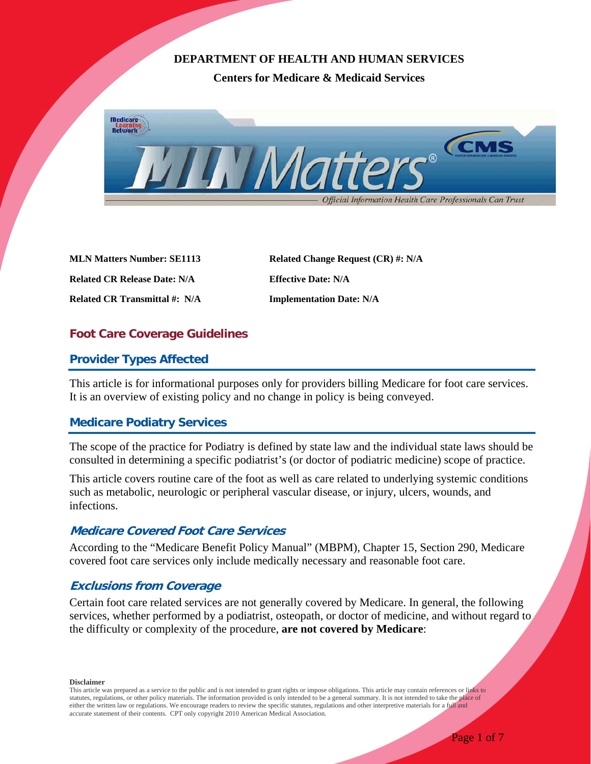# **DEPARTMENT OF HEALTH AND HUMAN SERVICES**

**Centers for Medicare & Medicaid Services** 



**MLN Matters Number: SE1113 Related Change Request (CR) #: N/A Related CR Release Date: N/A Effective Date: N/A Related CR Transmittal #: N/A Implementation Date: N/A** 

# **Foot Care Coverage Guidelines**

# **Provider Types Affected**

This article is for informational purposes only for providers billing Medicare for foot care services. It is an overview of existing policy and no change in policy is being conveyed.

# **Medicare Podiatry Services**

The scope of the practice for Podiatry is defined by state law and the individual state laws should be consulted in determining a specific podiatrist's (or doctor of podiatric medicine) scope of practice.

This article covers routine care of the foot as well as care related to underlying systemic conditions such as metabolic, neurologic or peripheral vascular disease, or injury, ulcers, wounds, and infections.

## **Medicare Covered Foot Care Services**

According to the "Medicare Benefit Policy Manual" (MBPM), Chapter 15, Section 290, Medicare covered foot care services only include medically necessary and reasonable foot care.

# **Exclusions from Coverage**

Certain foot care related services are not generally covered by Medicare. In general, the following services, whether performed by a podiatrist, osteopath, or doctor of medicine, and without regard to the difficulty or complexity of the procedure, **are not covered by Medicare**:

**Disclaimer** 

This article was prepared as a service to the public and is not intended to grant rights or impose obligations. This article may contain references or links to statutes, regulations, or other policy materials. The information provided is only intended to be a general summary. It is not intended to take the place of either the written law or regulations. We encourage readers to review the specific statutes, regulations and other interpretive materials for a full and accurate statement of their contents. CPT only copyright 2010 American Medical Association.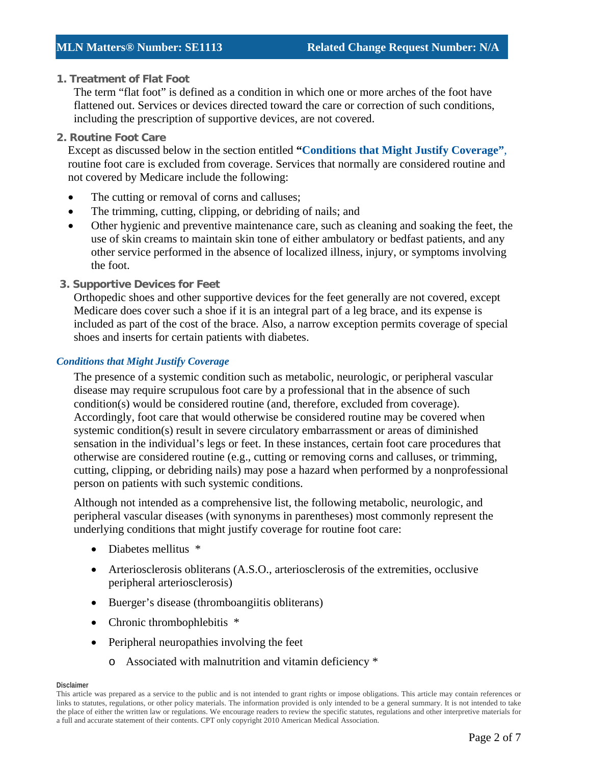#### **1. Treatment of Flat Foot**

 The term "flat foot" is defined as a condition in which one or more arches of the foot have flattened out. Services or devices directed toward the care or correction of such conditions, including the prescription of supportive devices, are not covered.

#### **2. Routine Foot Care**

 Except as discussed below in the section entitled **"Conditions that Might Justify Coverage"**, routine foot care is excluded from coverage. Services that normally are considered routine and not covered by Medicare include the following:

- The cutting or removal of corns and calluses;
- The trimming, cutting, clipping, or debriding of nails; and
- Other hygienic and preventive maintenance care, such as cleaning and soaking the feet, the use of skin creams to maintain skin tone of either ambulatory or bedfast patients, and any other service performed in the absence of localized illness, injury, or symptoms involving the foot.
- **3. Supportive Devices for Feet**

Orthopedic shoes and other supportive devices for the feet generally are not covered, except Medicare does cover such a shoe if it is an integral part of a leg brace, and its expense is included as part of the cost of the brace. Also, a narrow exception permits coverage of special shoes and inserts for certain patients with diabetes.

#### *Conditions that Might Justify Coverage*

The presence of a systemic condition such as metabolic, neurologic, or peripheral vascular disease may require scrupulous foot care by a professional that in the absence of such condition(s) would be considered routine (and, therefore, excluded from coverage). Accordingly, foot care that would otherwise be considered routine may be covered when systemic condition(s) result in severe circulatory embarrassment or areas of diminished sensation in the individual's legs or feet. In these instances, certain foot care procedures that otherwise are considered routine (e.g., cutting or removing corns and calluses, or trimming, cutting, clipping, or debriding nails) may pose a hazard when performed by a nonprofessional person on patients with such systemic conditions.

Although not intended as a comprehensive list, the following metabolic, neurologic, and peripheral vascular diseases (with synonyms in parentheses) most commonly represent the underlying conditions that might justify coverage for routine foot care:

- Diabetes mellitus \*
- Arteriosclerosis obliterans (A.S.O., arteriosclerosis of the extremities, occlusive peripheral arteriosclerosis)
- Buerger's disease (thromboangiitis obliterans)
- Chronic thrombophlebitis  $*$
- Peripheral neuropathies involving the feet
	- o Associated with malnutrition and vitamin deficiency \*

This article was prepared as a service to the public and is not intended to grant rights or impose obligations. This article may contain references or links to statutes, regulations, or other policy materials. The information provided is only intended to be a general summary. It is not intended to take the place of either the written law or regulations. We encourage readers to review the specific statutes, regulations and other interpretive materials for a full and accurate statement of their contents. CPT only copyright 2010 American Medical Association.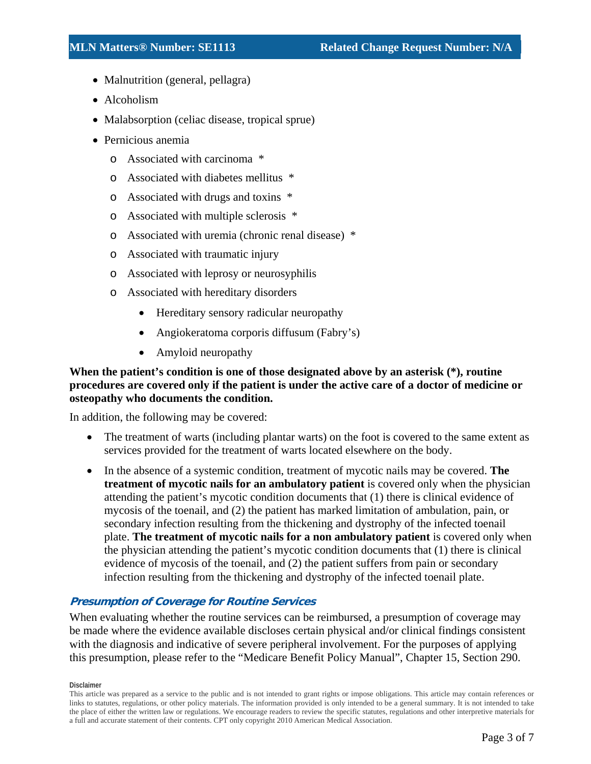- Malnutrition (general, pellagra)
- Alcoholism
- Malabsorption (celiac disease, tropical sprue)
- Pernicious anemia
	- o Associated with carcinoma \*
	- o Associated with diabetes mellitus \*
	- o Associated with drugs and toxins \*
	- o Associated with multiple sclerosis \*
	- o Associated with uremia (chronic renal disease) \*
	- o Associated with traumatic injury
	- o Associated with leprosy or neurosyphilis
	- o Associated with hereditary disorders
		- Hereditary sensory radicular neuropathy
		- Angiokeratoma corporis diffusum (Fabry's)
		- Amyloid neuropathy

## **When the patient's condition is one of those designated above by an asterisk (\*), routine procedures are covered only if the patient is under the active care of a doctor of medicine or osteopathy who documents the condition.**

In addition, the following may be covered:

- The treatment of warts (including plantar warts) on the foot is covered to the same extent as services provided for the treatment of warts located elsewhere on the body.
- In the absence of a systemic condition, treatment of mycotic nails may be covered. **The treatment of mycotic nails for an ambulatory patient** is covered only when the physician attending the patient's mycotic condition documents that (1) there is clinical evidence of mycosis of the toenail, and (2) the patient has marked limitation of ambulation, pain, or secondary infection resulting from the thickening and dystrophy of the infected toenail plate. **The treatment of mycotic nails for a non ambulatory patient** is covered only when the physician attending the patient's mycotic condition documents that (1) there is clinical evidence of mycosis of the toenail, and (2) the patient suffers from pain or secondary infection resulting from the thickening and dystrophy of the infected toenail plate.

## **Presumption of Coverage for Routine Services**

When evaluating whether the routine services can be reimbursed, a presumption of coverage may be made where the evidence available discloses certain physical and/or clinical findings consistent with the diagnosis and indicative of severe peripheral involvement. For the purposes of applying this presumption, please refer to the "Medicare Benefit Policy Manual", Chapter 15, Section 290.

This article was prepared as a service to the public and is not intended to grant rights or impose obligations. This article may contain references or links to statutes, regulations, or other policy materials. The information provided is only intended to be a general summary. It is not intended to take the place of either the written law or regulations. We encourage readers to review the specific statutes, regulations and other interpretive materials for a full and accurate statement of their contents. CPT only copyright 2010 American Medical Association.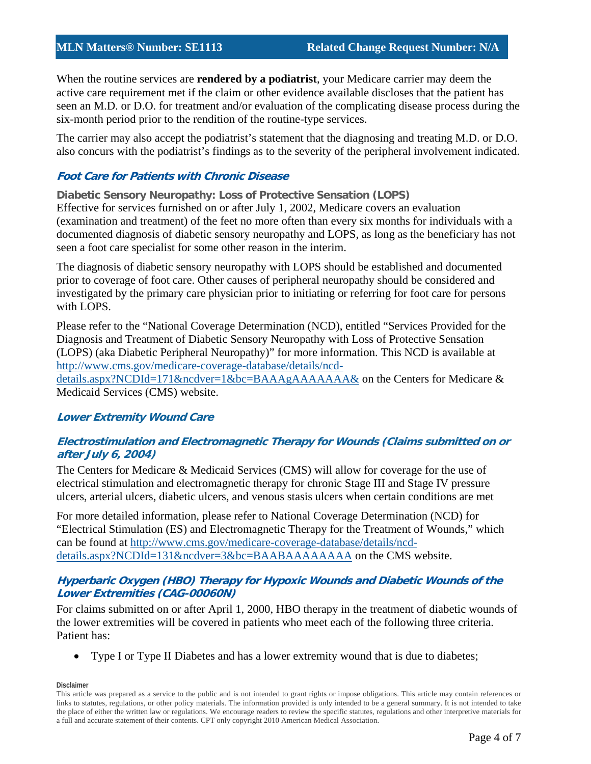When the routine services are **rendered by a podiatrist**, your Medicare carrier may deem the active care requirement met if the claim or other evidence available discloses that the patient has seen an M.D. or D.O. for treatment and/or evaluation of the complicating disease process during the six-month period prior to the rendition of the routine-type services.

The carrier may also accept the podiatrist's statement that the diagnosing and treating M.D. or D.O. also concurs with the podiatrist's findings as to the severity of the peripheral involvement indicated.

#### **Foot Care for Patients with Chronic Disease**

**Diabetic Sensory Neuropathy: Loss of Protective Sensation (LOPS)**  Effective for services furnished on or after July 1, 2002, Medicare covers an evaluation (examination and treatment) of the feet no more often than every six months for individuals with a documented diagnosis of diabetic sensory neuropathy and LOPS, as long as the beneficiary has not seen a foot care specialist for some other reason in the interim.

The diagnosis of diabetic sensory neuropathy with LOPS should be established and documented prior to coverage of foot care. Other causes of peripheral neuropathy should be considered and investigated by the primary care physician prior to initiating or referring for foot care for persons with LOPS.

Please refer to the "National Coverage Determination (NCD), entitled "Services Provided for the Diagnosis and Treatment of Diabetic Sensory Neuropathy with Loss of Protective Sensation (LOPS) (aka Diabetic Peripheral Neuropathy)" for more information. This NCD is available at [http://www.cms.gov/medicare-coverage-database/details/ncd-](http://www.cms.gov/medicare-coverage-database/details/ncd-details.aspx?NCDId=171&ncdver=1&bc=BAAAgAAAAAAA&)

[details.aspx?NCDId=171&ncdver=1&bc=BAAAgAAAAAAA&](http://www.cms.gov/medicare-coverage-database/details/ncd-details.aspx?NCDId=171&ncdver=1&bc=BAAAgAAAAAAA&) on the Centers for Medicare & Medicaid Services (CMS) website.

## **Lower Extremity Wound Care**

# **Electrostimulation and Electromagnetic Therapy for Wounds (Claims submitted on or after July 6, 2004)**

The Centers for Medicare & Medicaid Services (CMS) will allow for coverage for the use of electrical stimulation and electromagnetic therapy for chronic Stage III and Stage IV pressure ulcers, arterial ulcers, diabetic ulcers, and venous stasis ulcers when certain conditions are met

For more detailed information, please refer to National Coverage Determination (NCD) for "Electrical Stimulation (ES) and Electromagnetic Therapy for the Treatment of Wounds," which can be found at [http://www.cms.gov/medicare-coverage-database/details/ncd](http://www.cms.gov/medicare-coverage-database/details/ncd-details.aspx?NCDId=131&ncdver=3&bc=BAABAAAAAAAA&)[details.aspx?NCDId=131&ncdver=3&bc=BAABAAAAAAAA](http://www.cms.gov/medicare-coverage-database/details/ncd-details.aspx?NCDId=131&ncdver=3&bc=BAABAAAAAAAA&) on the CMS website.

## **Hyperbaric Oxygen (HBO) Therapy for Hypoxic Wounds and Diabetic Wounds of the Lower Extremities (CAG-00060N)**

For claims submitted on or after April 1, 2000, HBO therapy in the treatment of diabetic wounds of the lower extremities will be covered in patients who meet each of the following three criteria. Patient has:

• Type I or Type II Diabetes and has a lower extremity wound that is due to diabetes;

This article was prepared as a service to the public and is not intended to grant rights or impose obligations. This article may contain references or links to statutes, regulations, or other policy materials. The information provided is only intended to be a general summary. It is not intended to take the place of either the written law or regulations. We encourage readers to review the specific statutes, regulations and other interpretive materials for a full and accurate statement of their contents. CPT only copyright 2010 American Medical Association.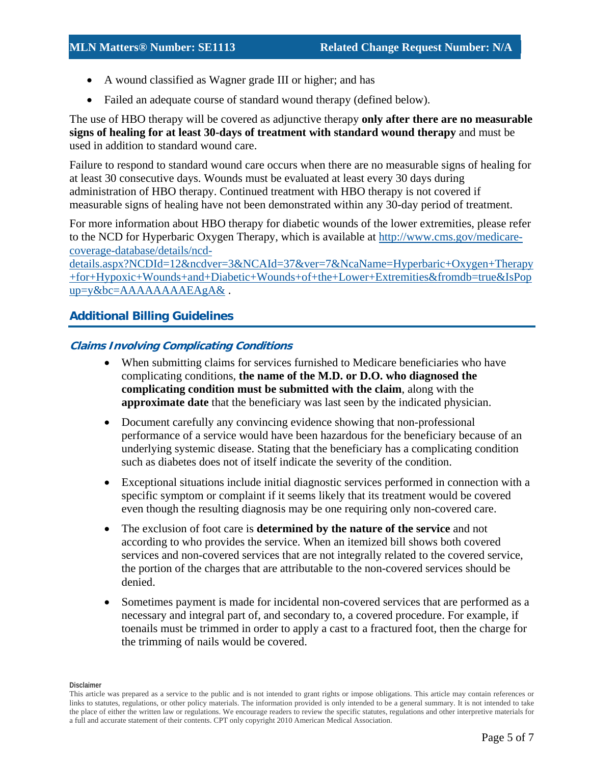- A wound classified as Wagner grade III or higher; and has
- Failed an adequate course of standard wound therapy (defined below).

The use of HBO therapy will be covered as adjunctive therapy **only after there are no measurable signs of healing for at least 30-days of treatment with standard wound therapy** and must be used in addition to standard wound care.

Failure to respond to standard wound care occurs when there are no measurable signs of healing for at least 30 consecutive days. Wounds must be evaluated at least every 30 days during administration of HBO therapy. Continued treatment with HBO therapy is not covered if measurable signs of healing have not been demonstrated within any 30-day period of treatment.

For more information about HBO therapy for diabetic wounds of the lower extremities, please refer to the NCD for Hyperbaric Oxygen Therapy, which is available at [http://www.cms.gov/medicare](http://www.cms.gov/medicare-coverage-database/details/ncd-details.aspx?NCDId=12&ncdver=3&NCAId=37&ver=7&NcaName=Hyperbaric+Oxygen+Therapy+for+Hypoxic+Wounds+and+Diabetic+Wounds+of+the+Lower+Extremities&fromdb=true&IsPopup=y&bc=AAAAAAAAEAgA&)[coverage-database/details/ncd-](http://www.cms.gov/medicare-coverage-database/details/ncd-details.aspx?NCDId=12&ncdver=3&NCAId=37&ver=7&NcaName=Hyperbaric+Oxygen+Therapy+for+Hypoxic+Wounds+and+Diabetic+Wounds+of+the+Lower+Extremities&fromdb=true&IsPopup=y&bc=AAAAAAAAEAgA&)

[details.aspx?NCDId=12&ncdver=3&NCAId=37&ver=7&NcaName=Hyperbaric+Oxygen+Therapy](http://www.cms.gov/medicare-coverage-database/details/ncd-details.aspx?NCDId=12&ncdver=3&NCAId=37&ver=7&NcaName=Hyperbaric+Oxygen+Therapy+for+Hypoxic+Wounds+and+Diabetic+Wounds+of+the+Lower+Extremities&fromdb=true&IsPopup=y&bc=AAAAAAAAEAgA&) [+for+Hypoxic+Wounds+and+Diabetic+Wounds+of+the+Lower+Extremities&fromdb=true&IsPop](http://www.cms.gov/medicare-coverage-database/details/ncd-details.aspx?NCDId=12&ncdver=3&NCAId=37&ver=7&NcaName=Hyperbaric+Oxygen+Therapy+for+Hypoxic+Wounds+and+Diabetic+Wounds+of+the+Lower+Extremities&fromdb=true&IsPopup=y&bc=AAAAAAAAEAgA&) [up=y&bc=AAAAAAAAEAgA&](http://www.cms.gov/medicare-coverage-database/details/ncd-details.aspx?NCDId=12&ncdver=3&NCAId=37&ver=7&NcaName=Hyperbaric+Oxygen+Therapy+for+Hypoxic+Wounds+and+Diabetic+Wounds+of+the+Lower+Extremities&fromdb=true&IsPopup=y&bc=AAAAAAAAEAgA&) .

## **Additional Billing Guidelines**

#### **Claims Involving Complicating Conditions**

- When submitting claims for services furnished to Medicare beneficiaries who have complicating conditions, **the name of the M.D. or D.O. who diagnosed the complicating condition must be submitted with the claim**, along with the **approximate date** that the beneficiary was last seen by the indicated physician.
- Document carefully any convincing evidence showing that non-professional performance of a service would have been hazardous for the beneficiary because of an underlying systemic disease. Stating that the beneficiary has a complicating condition such as diabetes does not of itself indicate the severity of the condition.
- Exceptional situations include initial diagnostic services performed in connection with a specific symptom or complaint if it seems likely that its treatment would be covered even though the resulting diagnosis may be one requiring only non-covered care.
- The exclusion of foot care is **determined by the nature of the service** and not according to who provides the service. When an itemized bill shows both covered services and non-covered services that are not integrally related to the covered service, the portion of the charges that are attributable to the non-covered services should be denied.
- Sometimes payment is made for incidental non-covered services that are performed as a necessary and integral part of, and secondary to, a covered procedure. For example, if toenails must be trimmed in order to apply a cast to a fractured foot, then the charge for the trimming of nails would be covered.

This article was prepared as a service to the public and is not intended to grant rights or impose obligations. This article may contain references or links to statutes, regulations, or other policy materials. The information provided is only intended to be a general summary. It is not intended to take the place of either the written law or regulations. We encourage readers to review the specific statutes, regulations and other interpretive materials for a full and accurate statement of their contents. CPT only copyright 2010 American Medical Association.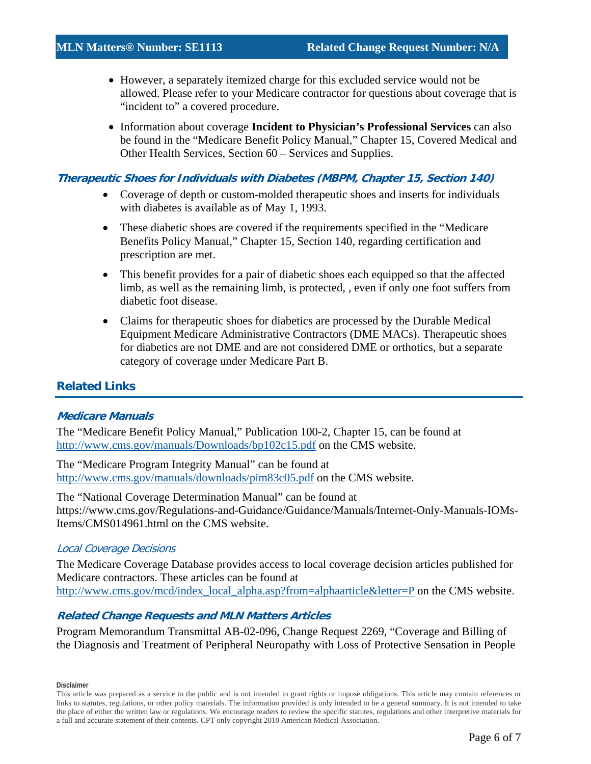- However, a separately itemized charge for this excluded service would not be allowed. Please refer to your Medicare contractor for questions about coverage that is "incident to" a covered procedure.
- Information about coverage **Incident to Physician's Professional Services** can also be found in the "Medicare Benefit Policy Manual," Chapter 15, Covered Medical and Other Health Services, Section 60 – Services and Supplies.

## **Therapeutic Shoes for Individuals with Diabetes ([MBPM, Chapter 15, Section 140\)](http://new.cms.hhs.gov/manuals/downloads/bp102c15.pdf)**

- Coverage of depth or custom-molded therapeutic shoes and inserts for individuals with diabetes is available as of May 1, 1993.
- These diabetic shoes are covered if the requirements specified in the "Medicare Benefits Policy Manual," Chapter 15, Section 140, regarding certification and prescription are met.
- This benefit provides for a pair of diabetic shoes each equipped so that the affected limb, as well as the remaining limb, is protected, , even if only one foot suffers from diabetic foot disease.
- Claims for therapeutic shoes for diabetics are processed by the Durable Medical Equipment Medicare Administrative Contractors (DME MACs). Therapeutic shoes for diabetics are not DME and are not considered DME or orthotics, but a separate category of coverage under Medicare Part B.

# **Related Links**

#### **Medicare Manuals**

The "Medicare Benefit Policy Manual," Publication 100-2, Chapter 15, can be found at [http://www.cms.gov/manuals/Downloads/bp102c15.pdf](http://www.cms.hhs.gov/manuals/Downloads/bp102c15.pdf) on the CMS website.

The "Medicare Program Integrity Manual" can be found at [http://www.cms.gov/manuals/downloads/pim83c05.pdf](http://www.cms.hhs.gov/manuals/downloads/pim83c05.pdf) on the CMS website.

The "National Coverage Determination Manual" can be found at https://www.cms.gov/Regulations-and-Guidance/Guidance/Manuals/Internet-Only-Manuals-IOMs-Items/CMS014961.html on the CMS website.

#### Local Coverage Decisions

The Medicare Coverage Database provides access to local coverage decision articles published for Medicare contractors. These articles can be found at [http://www.cms.gov/mcd/index\\_local\\_alpha.asp?from=alphaarticle&letter=P](http://www.cms.hhs.gov/mcd/index_local_alpha.asp?from=alphaarticle&letter=P) on the CMS website.

## **Related Change Requests and MLN Matters Articles**

Program Memorandum Transmittal AB-02-096, Change Request 2269, "Coverage and Billing of the Diagnosis and Treatment of Peripheral Neuropathy with Loss of Protective Sensation in People

This article was prepared as a service to the public and is not intended to grant rights or impose obligations. This article may contain references or links to statutes, regulations, or other policy materials. The information provided is only intended to be a general summary. It is not intended to take the place of either the written law or regulations. We encourage readers to review the specific statutes, regulations and other interpretive materials for a full and accurate statement of their contents. CPT only copyright 2010 American Medical Association.